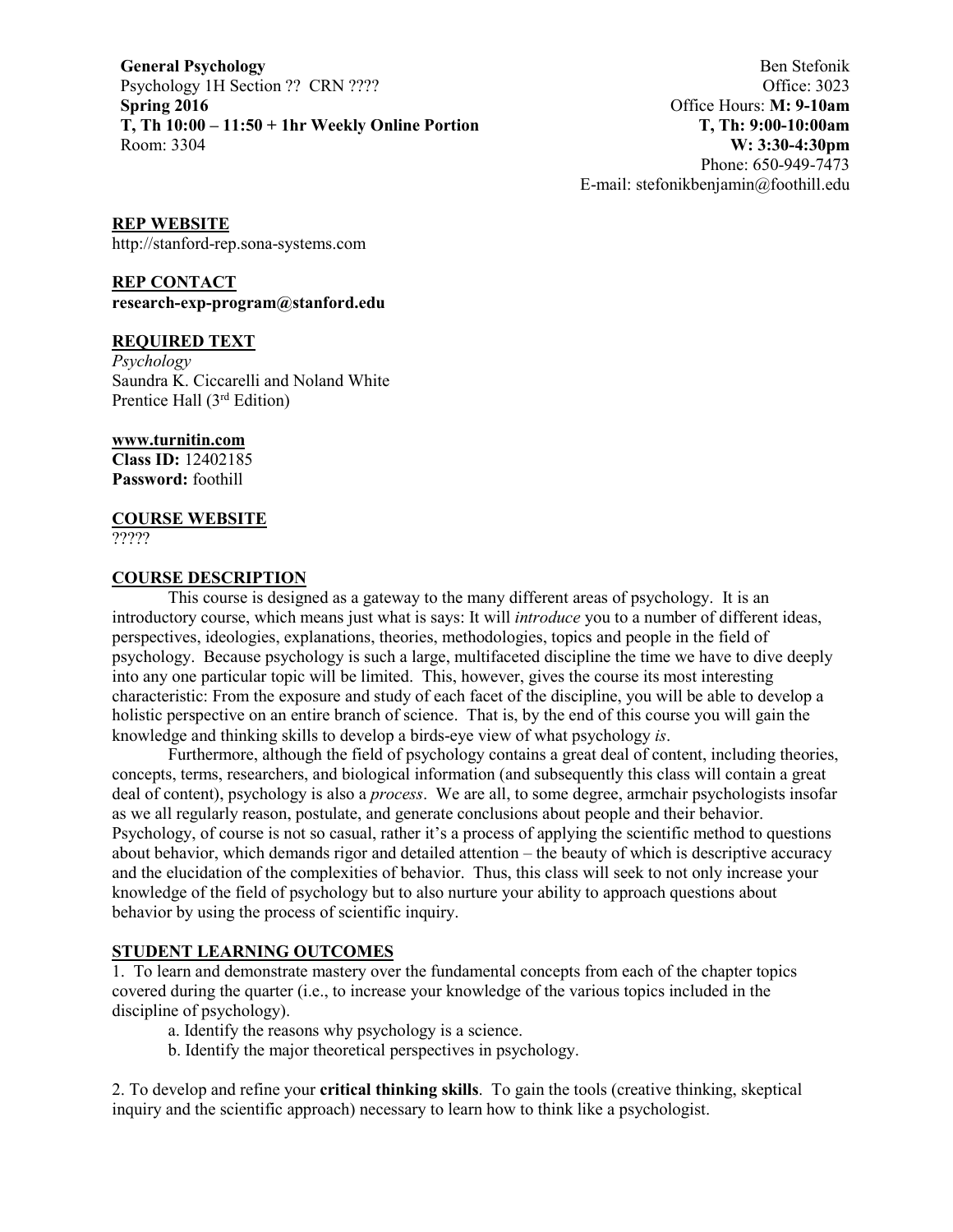**General Psychology** Psychology 1H Section ?? CRN ???? **Spring 2016 T, Th 10:00 – 11:50 + 1hr Weekly Online Portion** Room: 3304

Ben Stefonik Office: 3023 Office Hours: **M: 9-10am T, Th: 9:00-10:00am W: 3:30-4:30pm** Phone: 650-949-7473 E-mail: stefonikbenjamin@foothill.edu

### **REP WEBSITE**

[http://stanford-rep.sona-systems.com](http://stanford-rep.sona-systems.com/)

# **REP CONTACT**

**research-exp-program@stanford.edu**

### **REQUIRED TEXT**

*Psychology* Saundra K. Ciccarelli and Noland White Prentice Hall (3<sup>rd</sup> Edition)

#### **www.turnitin.com**

**Class ID:** 12402185 **Password:** foothill

### **COURSE WEBSITE**

?????

#### **COURSE DESCRIPTION**

This course is designed as a gateway to the many different areas of psychology. It is an introductory course, which means just what is says: It will *introduce* you to a number of different ideas, perspectives, ideologies, explanations, theories, methodologies, topics and people in the field of psychology. Because psychology is such a large, multifaceted discipline the time we have to dive deeply into any one particular topic will be limited. This, however, gives the course its most interesting characteristic: From the exposure and study of each facet of the discipline, you will be able to develop a holistic perspective on an entire branch of science. That is, by the end of this course you will gain the knowledge and thinking skills to develop a birds-eye view of what psychology *is*.

Furthermore, although the field of psychology contains a great deal of content, including theories, concepts, terms, researchers, and biological information (and subsequently this class will contain a great deal of content), psychology is also a *process*. We are all, to some degree, armchair psychologists insofar as we all regularly reason, postulate, and generate conclusions about people and their behavior. Psychology, of course is not so casual, rather it's a process of applying the scientific method to questions about behavior, which demands rigor and detailed attention – the beauty of which is descriptive accuracy and the elucidation of the complexities of behavior. Thus, this class will seek to not only increase your knowledge of the field of psychology but to also nurture your ability to approach questions about behavior by using the process of scientific inquiry.

#### **STUDENT LEARNING OUTCOMES**

1. To learn and demonstrate mastery over the fundamental concepts from each of the chapter topics covered during the quarter (i.e., to increase your knowledge of the various topics included in the discipline of psychology).

- a. Identify the reasons why psychology is a science.
- b. Identify the major theoretical perspectives in psychology.

2. To develop and refine your **critical thinking skills**. To gain the tools (creative thinking, skeptical inquiry and the scientific approach) necessary to learn how to think like a psychologist.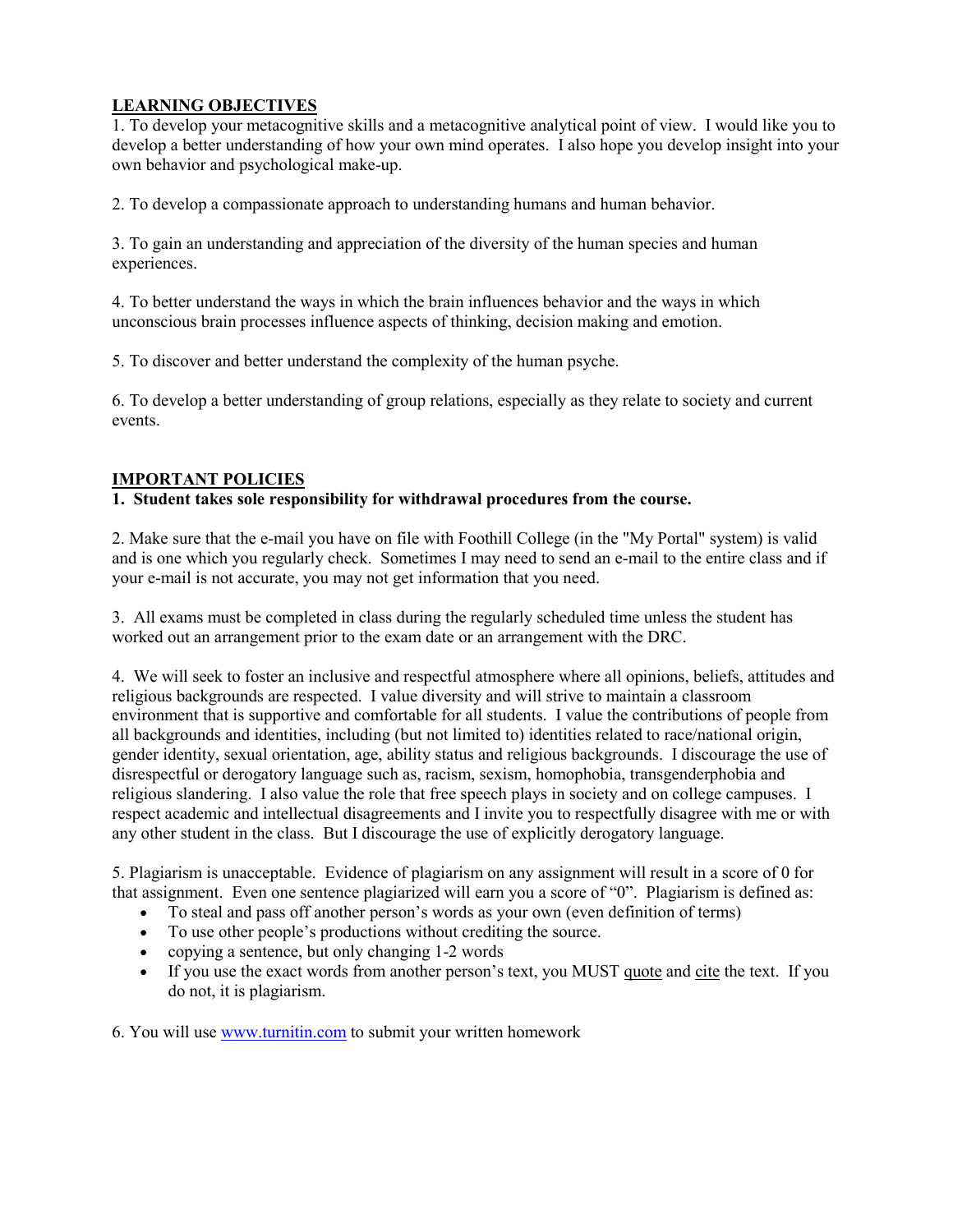# **LEARNING OBJECTIVES**

1. To develop your metacognitive skills and a metacognitive analytical point of view. I would like you to develop a better understanding of how your own mind operates. I also hope you develop insight into your own behavior and psychological make-up.

2. To develop a compassionate approach to understanding humans and human behavior.

3. To gain an understanding and appreciation of the diversity of the human species and human experiences.

4. To better understand the ways in which the brain influences behavior and the ways in which unconscious brain processes influence aspects of thinking, decision making and emotion.

5. To discover and better understand the complexity of the human psyche.

6. To develop a better understanding of group relations, especially as they relate to society and current events.

## **IMPORTANT POLICIES**

### **1. Student takes sole responsibility for withdrawal procedures from the course.**

2. Make sure that the e-mail you have on file with Foothill College (in the "My Portal" system) is valid and is one which you regularly check. Sometimes I may need to send an e-mail to the entire class and if your e-mail is not accurate, you may not get information that you need.

3. All exams must be completed in class during the regularly scheduled time unless the student has worked out an arrangement prior to the exam date or an arrangement with the DRC.

4. We will seek to foster an inclusive and respectful atmosphere where all opinions, beliefs, attitudes and religious backgrounds are respected. I value diversity and will strive to maintain a classroom environment that is supportive and comfortable for all students. I value the contributions of people from all backgrounds and identities, including (but not limited to) identities related to race/national origin, gender identity, sexual orientation, age, ability status and religious backgrounds. I discourage the use of disrespectful or derogatory language such as, racism, sexism, homophobia, transgenderphobia and religious slandering. I also value the role that free speech plays in society and on college campuses. I respect academic and intellectual disagreements and I invite you to respectfully disagree with me or with any other student in the class. But I discourage the use of explicitly derogatory language.

5. Plagiarism is unacceptable. Evidence of plagiarism on any assignment will result in a score of 0 for that assignment. Even one sentence plagiarized will earn you a score of "0". Plagiarism is defined as:

- To steal and pass off another person's words as your own (even definition of terms)
- To use other people's productions without crediting the source.
- copying a sentence, but only changing 1-2 words
- If you use the exact words from another person's text, you MUST quote and cite the text. If you do not, it is plagiarism.

6. You will use [www.turnitin.com](http://www.turnitin.com/) to submit your written homework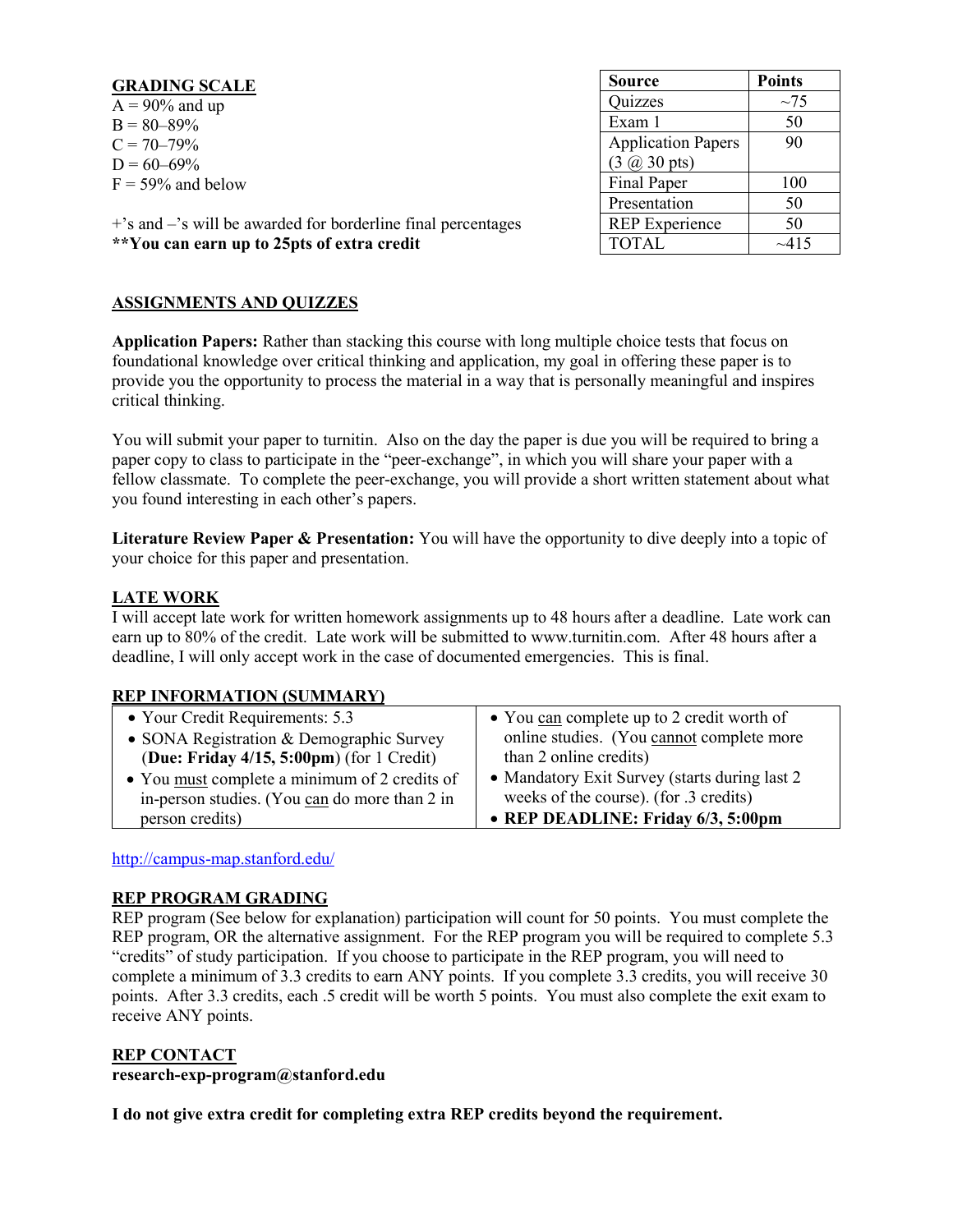|--|

 $A = 90\%$  and up  $B = 80 - 89\%$  $C = 70 - 79\%$  $D = 60 - 69\%$  $F = 59\%$  and below

+'s and –'s will be awarded for borderline final percentages **\*\*You can earn up to 25pts of extra credit**

#### **ASSIGNMENTS AND QUIZZES**

**Application Papers:** Rather than stacking this course with long multiple choice tests that focus on foundational knowledge over critical thinking and application, my goal in offering these paper is to provide you the opportunity to process the material in a way that is personally meaningful and inspires critical thinking.

You will submit your paper to turnitin. Also on the day the paper is due you will be required to bring a paper copy to class to participate in the "peer-exchange", in which you will share your paper with a fellow classmate. To complete the peer-exchange, you will provide a short written statement about what you found interesting in each other's papers.

**Literature Review Paper & Presentation:** You will have the opportunity to dive deeply into a topic of your choice for this paper and presentation.

#### **LATE WORK**

I will accept late work for written homework assignments up to 48 hours after a deadline. Late work can earn up to 80% of the credit. Late work will be submitted to www.turnitin.com. After 48 hours after a deadline, I will only accept work in the case of documented emergencies. This is final.

#### **REP INFORMATION (SUMMARY)**

| • Your Credit Requirements: 5.3               | • You can complete up to 2 credit worth of     |
|-----------------------------------------------|------------------------------------------------|
| • SONA Registration & Demographic Survey      | online studies. (You cannot complete more      |
| (Due: Friday $4/15$ , 5:00pm) (for 1 Credit)  | than 2 online credits)                         |
| • You must complete a minimum of 2 credits of | • Mandatory Exit Survey (starts during last 2) |
| in-person studies. (You can do more than 2 in | weeks of the course). (for .3 credits)         |
| person credits)                               | • REP DEADLINE: Friday 6/3, 5:00pm             |

[http://campus-map.stanford.edu/](https://email.fhda.edu/owa/redir.aspx?C=VHxVRYX0Y0W9fNbvjz1NL_hZq_Aw79AITbVfcNWgeCjC9w9woy2dRYeTuyFK_h0P2HVV4kD92f4.&URL=https%3a%2f%2furldefense.proofpoint.com%2fv1%2furl%3fu%3dhttp%3a%2f%2fcampus-map.stanford.edu%2f%26k%3dQYSOKE6LfKTEmxylV%252Blwug%253D%253D%250A%26r%3dH4xQM%252FVnzJAiRE7ASQogAxBhAOQUv2FcAvHojK9kbl8%253D%250A%26m%3dL8yykv5zCzT2d9JljrFLHjMely9k3p%252FNfhENudP57w8%253D%250A%26s%3d1ba917acbdc1f4a110cdd775a6f68ce3c752f71e4714792ec0e7593450dfe829)

#### **REP PROGRAM GRADING**

REP program (See below for explanation) participation will count for 50 points. You must complete the REP program, OR the alternative assignment. For the REP program you will be required to complete 5.3 "credits" of study participation. If you choose to participate in the REP program, you will need to complete a minimum of 3.3 credits to earn ANY points. If you complete 3.3 credits, you will receive 30 points. After 3.3 credits, each .5 credit will be worth 5 points. You must also complete the exit exam to receive ANY points.

#### **REP CONTACT**

**research-exp-program@stanford.edu** 

**I do not give extra credit for completing extra REP credits beyond the requirement.**

| <b>Source</b>             | <b>Points</b> |  |  |
|---------------------------|---------------|--|--|
| Quizzes                   | $\sim$ 75     |  |  |
| Exam 1                    | 50            |  |  |
| <b>Application Papers</b> | 90            |  |  |
| $(3 \omega)$ 30 pts)      |               |  |  |
| <b>Final Paper</b>        | 100           |  |  |
| Presentation              | 50            |  |  |
| <b>REP</b> Experience     | 50            |  |  |
| <b>TOTAL</b>              | ~15           |  |  |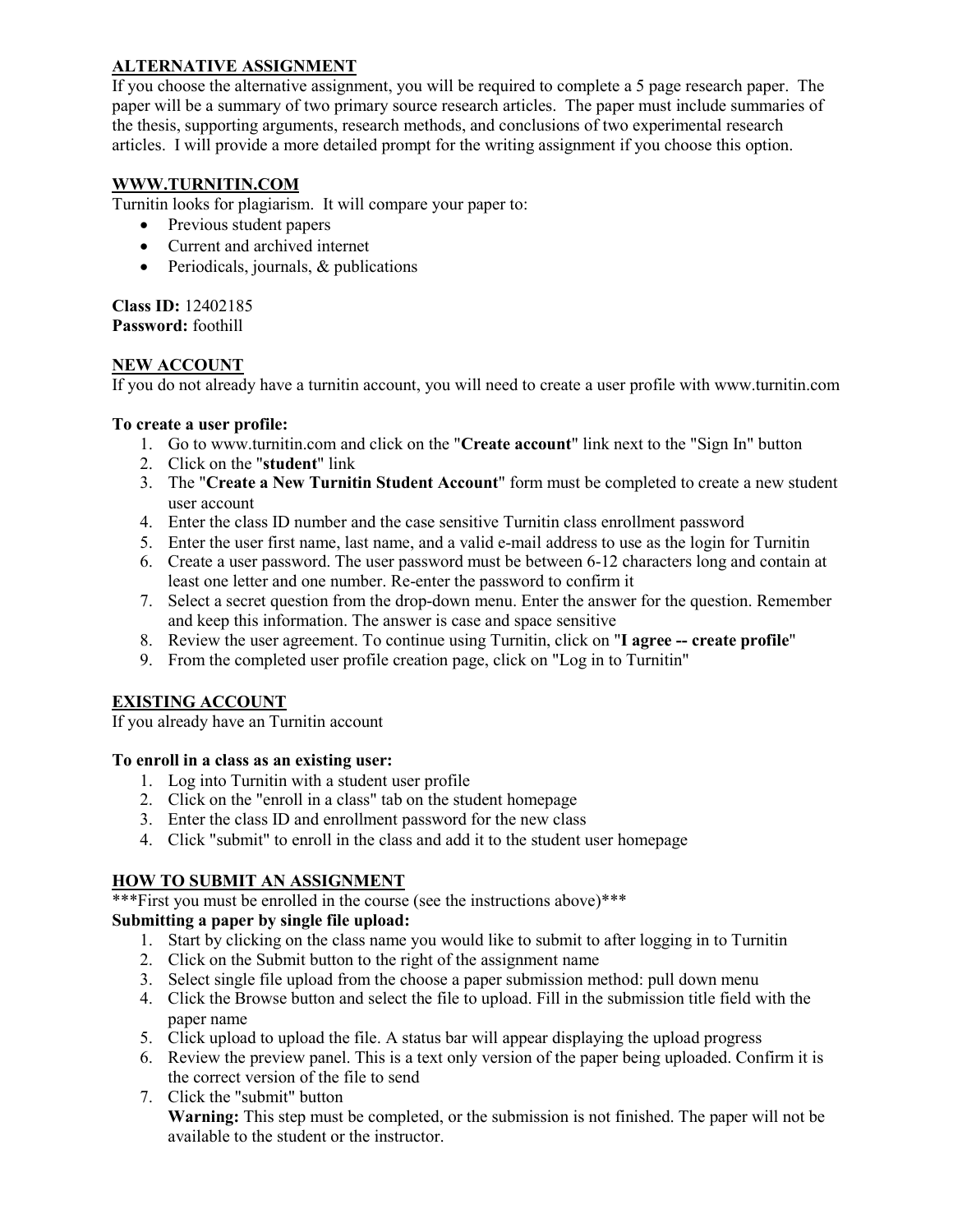# **ALTERNATIVE ASSIGNMENT**

If you choose the alternative assignment, you will be required to complete a 5 page research paper. The paper will be a summary of two primary source research articles. The paper must include summaries of the thesis, supporting arguments, research methods, and conclusions of two experimental research articles. I will provide a more detailed prompt for the writing assignment if you choose this option.

## **WWW.TURNITIN.COM**

Turnitin looks for plagiarism. It will compare your paper to:

- Previous student papers
- Current and archived internet
- Periodicals, journals, & publications

**Class ID:** 12402185 **Password:** foothill

# **NEW ACCOUNT**

If you do not already have a turnitin account, you will need to create a user profile with www.turnitin.com

### **To create a user profile:**

- 1. Go to www.turnitin.com and click on the "**Create account**" link next to the "Sign In" button
- 2. Click on the "**student**" link
- 3. The "**Create a New Turnitin Student Account**" form must be completed to create a new student user account
- 4. Enter the class ID number and the case sensitive Turnitin class enrollment password
- 5. Enter the user first name, last name, and a valid e-mail address to use as the login for Turnitin
- 6. Create a user password. The user password must be between 6-12 characters long and contain at least one letter and one number. Re-enter the password to confirm it
- 7. Select a secret question from the drop-down menu. Enter the answer for the question. Remember and keep this information. The answer is case and space sensitive
- 8. Review the user agreement. To continue using Turnitin, click on "**I agree -- create profile**"
- 9. From the completed user profile creation page, click on "Log in to Turnitin"

# **EXISTING ACCOUNT**

If you already have an Turnitin account

## **To enroll in a class as an existing user:**

- 1. Log into Turnitin with a student user profile
- 2. Click on the "enroll in a class" tab on the student homepage
- 3. Enter the class ID and enrollment password for the new class
- 4. Click "submit" to enroll in the class and add it to the student user homepage

## **HOW TO SUBMIT AN ASSIGNMENT**

\*\*\*First you must be enrolled in the course (see the instructions above)\*\*\*

## **Submitting a paper by single file upload:**

- 1. Start by clicking on the class name you would like to submit to after logging in to Turnitin
- 2. Click on the Submit button to the right of the assignment name
- 3. Select single file upload from the choose a paper submission method: pull down menu
- 4. Click the Browse button and select the file to upload. Fill in the submission title field with the paper name
- 5. Click upload to upload the file. A status bar will appear displaying the upload progress
- 6. Review the preview panel. This is a text only version of the paper being uploaded. Confirm it is the correct version of the file to send
- 7. Click the "submit" button **Warning:** This step must be completed, or the submission is not finished. The paper will not be available to the student or the instructor.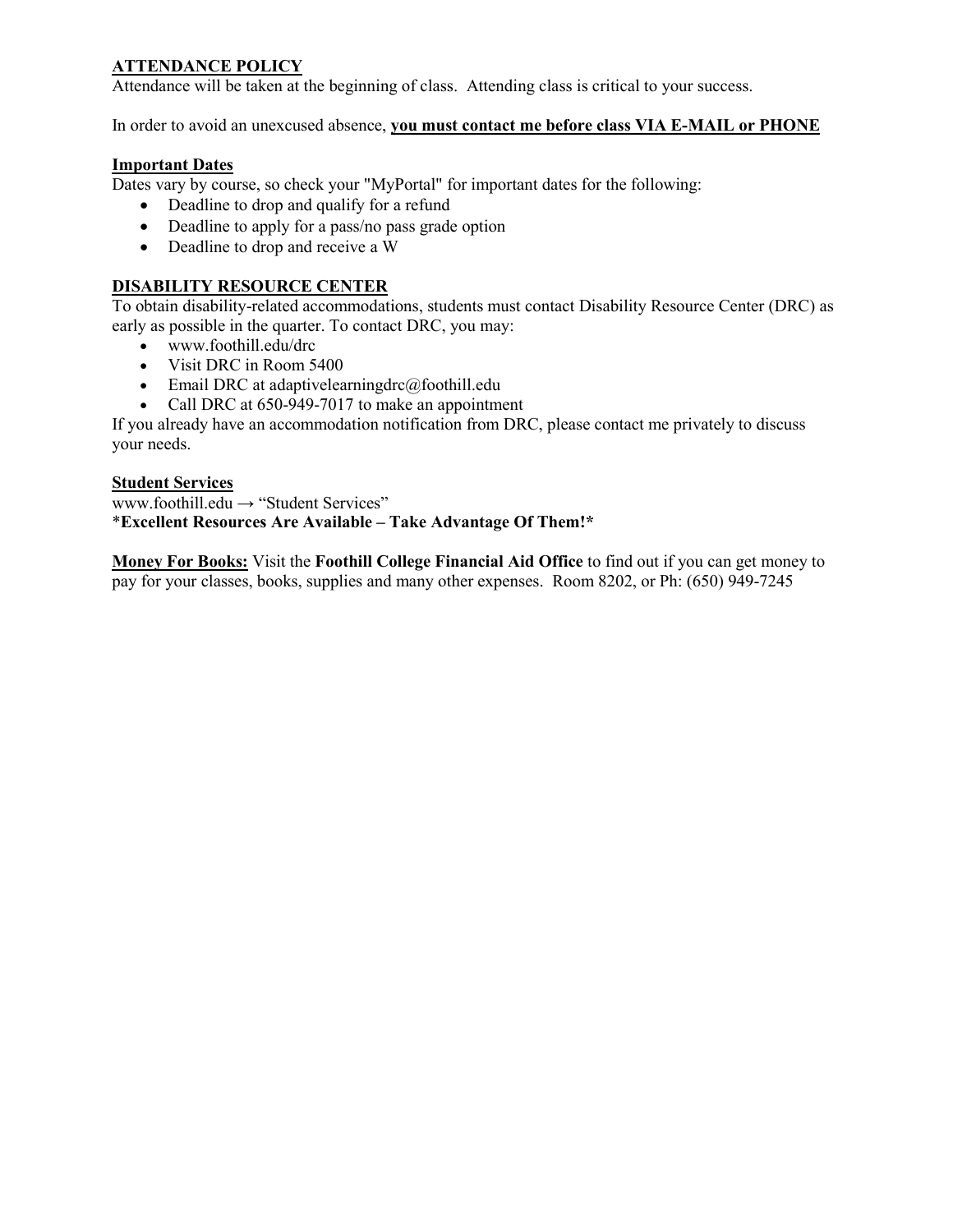# **ATTENDANCE POLICY**

Attendance will be taken at the beginning of class. Attending class is critical to your success.

In order to avoid an unexcused absence, **you must contact me before class VIA E-MAIL or PHONE**

### **Important Dates**

Dates vary by course, so check your "MyPortal" for important dates for the following:

- Deadline to drop and qualify for a refund
- Deadline to apply for a pass/no pass grade option
- Deadline to drop and receive a W

# **DISABILITY RESOURCE CENTER**

To obtain disability-related accommodations, students must contact Disability Resource Center (DRC) as early as possible in the quarter. To contact DRC, you may:

- www.foothill.edu/drc
- Visit DRC in Room 5400
- Email DRC at adaptivelearningdrc@foothill.edu
- Call DRC at 650-949-7017 to make an appointment

If you already have an accommodation notification from DRC, please contact me privately to discuss your needs.

#### **Student Services**

www.foothill.edu → "Student Services" \***Excellent Resources Are Available – Take Advantage Of Them!\***

**Money For Books:** Visit the **Foothill College Financial Aid Office** to find out if you can get money to pay for your classes, books, supplies and many other expenses. Room 8202, or Ph: (650) 949-7245